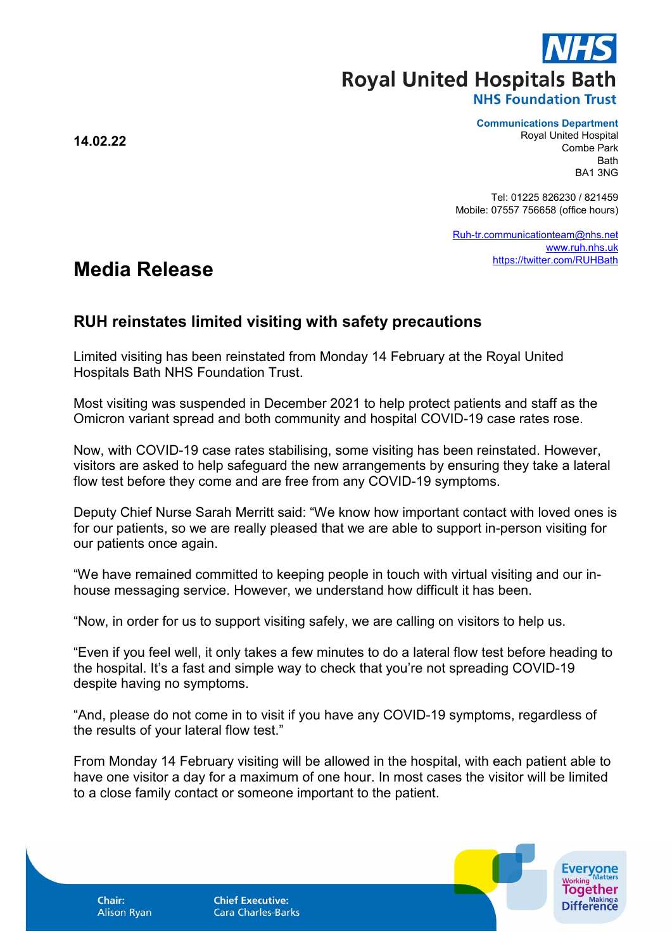**Royal United Hospitals Bath** 

## **NHS Foundation Trust**

**Communications Department**

Royal United Hospital Combe Park Bath BA1 3NG

Tel: 01225 826230 / 821459 Mobile: 07557 756658 (office hours)

[Ruh-tr.communicationteam@nhs.net](mailto:Ruh-tr.communicationteam@nhs.net) [www.ruh.nhs.uk](http://www.ruh.nhs.uk/) <https://twitter.com/RUHBath>

## **Media Release**

## **RUH reinstates limited visiting with safety precautions**

Limited visiting has been reinstated from Monday 14 February at the Royal United Hospitals Bath NHS Foundation Trust.

Most visiting was suspended in December 2021 to help protect patients and staff as the Omicron variant spread and both community and hospital COVID-19 case rates rose.

Now, with COVID-19 case rates stabilising, some visiting has been reinstated. However, visitors are asked to help safeguard the new arrangements by ensuring they take a lateral flow test before they come and are free from any COVID-19 symptoms.

Deputy Chief Nurse Sarah Merritt said: "We know how important contact with loved ones is for our patients, so we are really pleased that we are able to support in-person visiting for our patients once again.

"We have remained committed to keeping people in touch with virtual visiting and our inhouse messaging service. However, we understand how difficult it has been.

"Now, in order for us to support visiting safely, we are calling on visitors to help us.

"Even if you feel well, it only takes a few minutes to do a lateral flow test before heading to the hospital. It's a fast and simple way to check that you're not spreading COVID-19 despite having no symptoms.

"And, please do not come in to visit if you have any COVID-19 symptoms, regardless of the results of your lateral flow test."

From Monday 14 February visiting will be allowed in the hospital, with each patient able to have one visitor a day for a maximum of one hour. In most cases the visitor will be limited to a close family contact or someone important to the patient.

Chair: **Alison Ryan**  **Chief Executive: Cara Charles-Barks** 



**14.02.22**